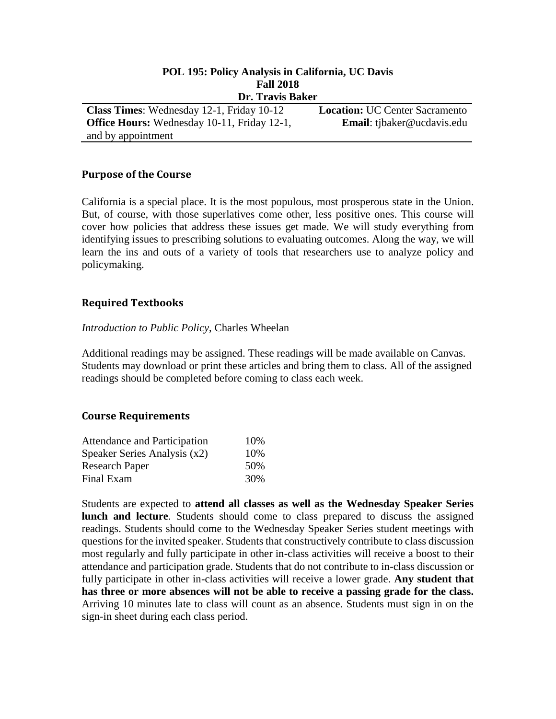| POL 195: Policy Analysis in California, UC Davis   |                                       |  |
|----------------------------------------------------|---------------------------------------|--|
| <b>Fall 2018</b>                                   |                                       |  |
| Dr. Travis Baker                                   |                                       |  |
| <b>Class Times:</b> Wednesday 12-1, Friday 10-12   | <b>Location: UC Center Sacramento</b> |  |
| <b>Office Hours:</b> Wednesday 10-11, Friday 12-1, | Email: tjbaker@ucdavis.edu            |  |
| and by appointment                                 |                                       |  |

## **Purpose of the Course**

California is a special place. It is the most populous, most prosperous state in the Union. But, of course, with those superlatives come other, less positive ones. This course will cover how policies that address these issues get made. We will study everything from identifying issues to prescribing solutions to evaluating outcomes. Along the way, we will learn the ins and outs of a variety of tools that researchers use to analyze policy and policymaking.

### **Required Textbooks**

#### *Introduction to Public Policy*, Charles Wheelan

Additional readings may be assigned. These readings will be made available on Canvas. Students may download or print these articles and bring them to class. All of the assigned readings should be completed before coming to class each week.

#### **Course Requirements**

| <b>Attendance and Participation</b> | 10\% |
|-------------------------------------|------|
| Speaker Series Analysis $(x2)$      | 10\% |
| <b>Research Paper</b>               | 50%  |
| Final Exam                          | 30%  |

Students are expected to **attend all classes as well as the Wednesday Speaker Series lunch and lecture**. Students should come to class prepared to discuss the assigned readings. Students should come to the Wednesday Speaker Series student meetings with questions for the invited speaker. Students that constructively contribute to class discussion most regularly and fully participate in other in-class activities will receive a boost to their attendance and participation grade. Students that do not contribute to in-class discussion or fully participate in other in-class activities will receive a lower grade. **Any student that has three or more absences will not be able to receive a passing grade for the class.** Arriving 10 minutes late to class will count as an absence. Students must sign in on the sign-in sheet during each class period.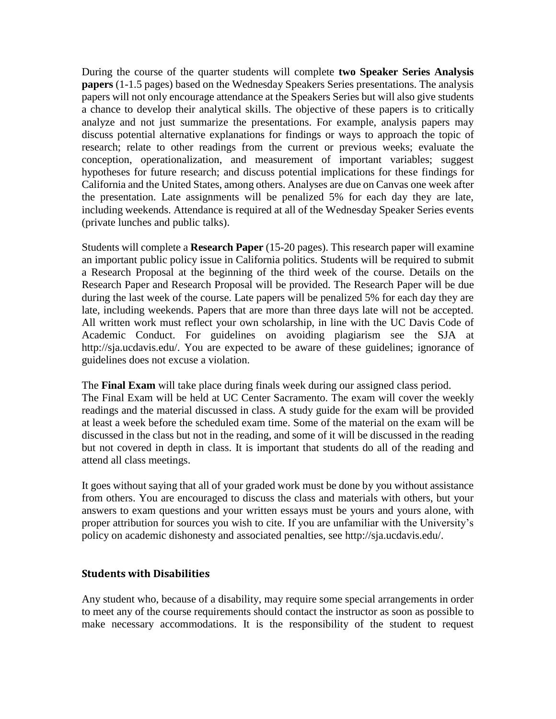During the course of the quarter students will complete **two Speaker Series Analysis papers** (1-1.5 pages) based on the Wednesday Speakers Series presentations. The analysis papers will not only encourage attendance at the Speakers Series but will also give students a chance to develop their analytical skills. The objective of these papers is to critically analyze and not just summarize the presentations. For example, analysis papers may discuss potential alternative explanations for findings or ways to approach the topic of research; relate to other readings from the current or previous weeks; evaluate the conception, operationalization, and measurement of important variables; suggest hypotheses for future research; and discuss potential implications for these findings for California and the United States, among others. Analyses are due on Canvas one week after the presentation. Late assignments will be penalized 5% for each day they are late, including weekends. Attendance is required at all of the Wednesday Speaker Series events (private lunches and public talks).

Students will complete a **Research Paper** (15-20 pages). This research paper will examine an important public policy issue in California politics. Students will be required to submit a Research Proposal at the beginning of the third week of the course. Details on the Research Paper and Research Proposal will be provided. The Research Paper will be due during the last week of the course. Late papers will be penalized 5% for each day they are late, including weekends. Papers that are more than three days late will not be accepted. All written work must reflect your own scholarship, in line with the UC Davis Code of Academic Conduct. For guidelines on avoiding plagiarism see the SJA at http://sja.ucdavis.edu/. You are expected to be aware of these guidelines; ignorance of guidelines does not excuse a violation.

The **Final Exam** will take place during finals week during our assigned class period. The Final Exam will be held at UC Center Sacramento. The exam will cover the weekly readings and the material discussed in class. A study guide for the exam will be provided at least a week before the scheduled exam time. Some of the material on the exam will be discussed in the class but not in the reading, and some of it will be discussed in the reading but not covered in depth in class. It is important that students do all of the reading and attend all class meetings.

It goes without saying that all of your graded work must be done by you without assistance from others. You are encouraged to discuss the class and materials with others, but your answers to exam questions and your written essays must be yours and yours alone, with proper attribution for sources you wish to cite. If you are unfamiliar with the University's policy on academic dishonesty and associated penalties, see http://sja.ucdavis.edu/.

## **Students with Disabilities**

Any student who, because of a disability, may require some special arrangements in order to meet any of the course requirements should contact the instructor as soon as possible to make necessary accommodations. It is the responsibility of the student to request